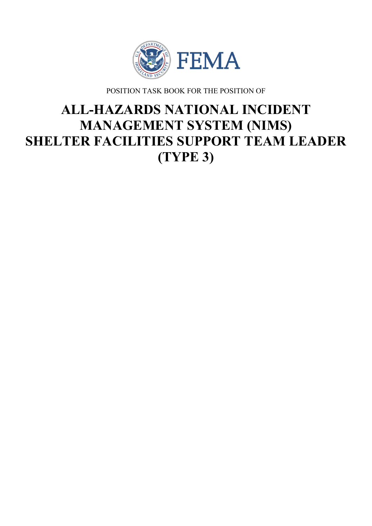

POSITION TASK BOOK FOR THE POSITION OF

# **ALL-HAZARDS NATIONAL INCIDENT MANAGEMENT SYSTEM (NIMS) SHELTER FACILITIES SUPPORT TEAM LEADER (TYPE 3)**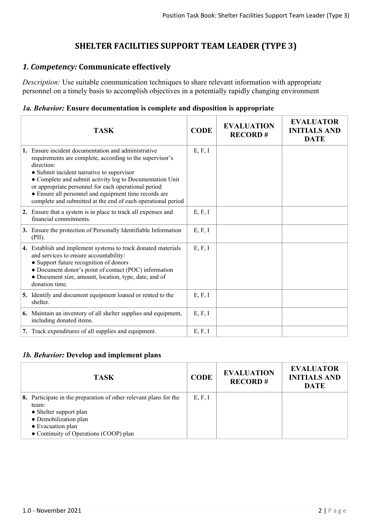# **SHELTER FACILITIES SUPPORT TEAM LEADER (TYPE 3)**

# *1. Competency:* **Communicate effectively**

*Description:* Use suitable communication techniques to share relevant information with appropriate personnel on a timely basis to accomplish objectives in a potentially rapidly changing environment

## *1a. Behavior:* **Ensure documentation is complete and disposition is appropriate**

| <b>TASK</b>                                                                                                                                                                                                                                                                                                                                                                                                             | <b>CODE</b> | <b>EVALUATION</b><br><b>RECORD#</b> | <b>EVALUATOR</b><br><b>INITIALS AND</b><br><b>DATE</b> |
|-------------------------------------------------------------------------------------------------------------------------------------------------------------------------------------------------------------------------------------------------------------------------------------------------------------------------------------------------------------------------------------------------------------------------|-------------|-------------------------------------|--------------------------------------------------------|
| 1. Ensure incident documentation and administrative<br>requirements are complete, according to the supervisor's<br>direction:<br>• Submit incident narrative to supervisor<br>• Complete and submit activity log to Documentation Unit<br>or appropriate personnel for each operational period<br>• Ensure all personnel and equipment time records are<br>complete and submitted at the end of each operational period | E, F, I     |                                     |                                                        |
| 2. Ensure that a system is in place to track all expenses and<br>financial commitments.                                                                                                                                                                                                                                                                                                                                 | E, F, I     |                                     |                                                        |
| 3. Ensure the protection of Personally Identifiable Information<br>(PII).                                                                                                                                                                                                                                                                                                                                               | E, F, I     |                                     |                                                        |
| 4. Establish and implement systems to track donated materials<br>and services to ensure accountability:<br>• Support future recognition of donors<br>• Document donor's point of contact (POC) information<br>• Document size, amount, location, type, date, and of<br>donation time.                                                                                                                                   | E, F, I     |                                     |                                                        |
| 5. Identify and document equipment loaned or rented to the<br>shelter.                                                                                                                                                                                                                                                                                                                                                  | E, F, I     |                                     |                                                        |
| <b>6.</b> Maintain an inventory of all shelter supplies and equipment,<br>including donated items.                                                                                                                                                                                                                                                                                                                      | E, F, I     |                                     |                                                        |
| 7. Track expenditures of all supplies and equipment.                                                                                                                                                                                                                                                                                                                                                                    | E, F, I     |                                     |                                                        |

#### *1b. Behavior:* **Develop and implement plans**

| <b>TASK</b>                                                                                                                                                                                  | <b>CODE</b> | <b>EVALUATION</b><br><b>RECORD#</b> | <b>EVALUATOR</b><br><b>INITIALS AND</b><br><b>DATE</b> |
|----------------------------------------------------------------------------------------------------------------------------------------------------------------------------------------------|-------------|-------------------------------------|--------------------------------------------------------|
| 8. Participate in the preparation of other relevant plans for the<br>team:<br>• Shelter support plan<br>• Demobilization plan<br>• Evacuation plan<br>• Continuity of Operations (COOP) plan | E, F, I     |                                     |                                                        |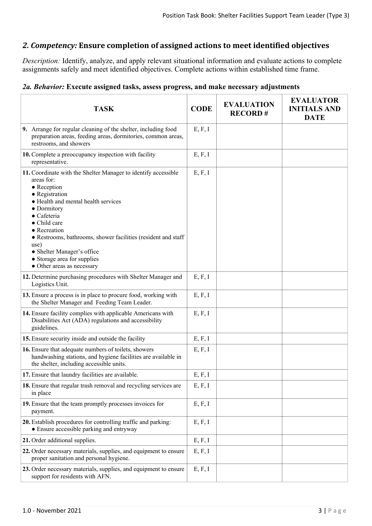# *2. Competency:* **Ensure completion of assigned actions to meet identified objectives**

*Description:* Identify, analyze, and apply relevant situational information and evaluate actions to complete assignments safely and meet identified objectives. Complete actions within established time frame.

## *2a. Behavior:* **Execute assigned tasks, assess progress, and make necessary adjustments**

| <b>TASK</b>                                                                                                                                                                                                                                                                                                                                                                                            | <b>CODE</b> | <b>EVALUATION</b><br><b>RECORD#</b> | <b>EVALUATOR</b><br><b>INITIALS AND</b><br><b>DATE</b> |
|--------------------------------------------------------------------------------------------------------------------------------------------------------------------------------------------------------------------------------------------------------------------------------------------------------------------------------------------------------------------------------------------------------|-------------|-------------------------------------|--------------------------------------------------------|
| 9. Arrange for regular cleaning of the shelter, including food<br>preparation areas, feeding areas, dormitories, common areas,<br>restrooms, and showers                                                                                                                                                                                                                                               | E, F, I     |                                     |                                                        |
| 10. Complete a preoccupancy inspection with facility<br>representative.                                                                                                                                                                                                                                                                                                                                | E, F, I     |                                     |                                                        |
| 11. Coordinate with the Shelter Manager to identify accessible<br>areas for:<br>$\bullet$ Reception<br>• Registration<br>• Health and mental health services<br>• Dormitory<br>$\bullet$ Cafeteria<br>• Child care<br>• Recreation<br>• Restrooms, bathrooms, shower facilities (resident and staff<br>use)<br>• Shelter Manager's office<br>• Storage area for supplies<br>• Other areas as necessary | E, F, I     |                                     |                                                        |
| 12. Determine purchasing procedures with Shelter Manager and<br>Logistics Unit.                                                                                                                                                                                                                                                                                                                        | E, F, I     |                                     |                                                        |
| 13. Ensure a process is in place to procure food, working with<br>the Shelter Manager and Feeding Team Leader.                                                                                                                                                                                                                                                                                         | E, F, I     |                                     |                                                        |
| 14. Ensure facility complies with applicable Americans with<br>Disabilities Act (ADA) regulations and accessibility<br>guidelines.                                                                                                                                                                                                                                                                     | E, F, I     |                                     |                                                        |
| 15. Ensure security inside and outside the facility                                                                                                                                                                                                                                                                                                                                                    | E, F, I     |                                     |                                                        |
| 16. Ensure that adequate numbers of toilets, showers<br>handwashing stations, and hygiene facilities are available in<br>the shelter, including accessible units.                                                                                                                                                                                                                                      | E, F, I     |                                     |                                                        |
| 17. Ensure that laundry facilities are available.                                                                                                                                                                                                                                                                                                                                                      | E, F, I     |                                     |                                                        |
| 18. Ensure that regular trash removal and recycling services are<br>in place                                                                                                                                                                                                                                                                                                                           | E, F, I     |                                     |                                                        |
| 19. Ensure that the team promptly processes invoices for<br>payment.                                                                                                                                                                                                                                                                                                                                   | E, F, I     |                                     |                                                        |
| 20. Establish procedures for controlling traffic and parking:<br>• Ensure accessible parking and entryway                                                                                                                                                                                                                                                                                              | E, F, I     |                                     |                                                        |
| 21. Order additional supplies.                                                                                                                                                                                                                                                                                                                                                                         | E, F, I     |                                     |                                                        |
| 22. Order necessary materials, supplies, and equipment to ensure<br>proper sanitation and personal hygiene.                                                                                                                                                                                                                                                                                            | E, F, I     |                                     |                                                        |
| 23. Order necessary materials, supplies, and equipment to ensure<br>support for residents with AFN.                                                                                                                                                                                                                                                                                                    | E, F, I     |                                     |                                                        |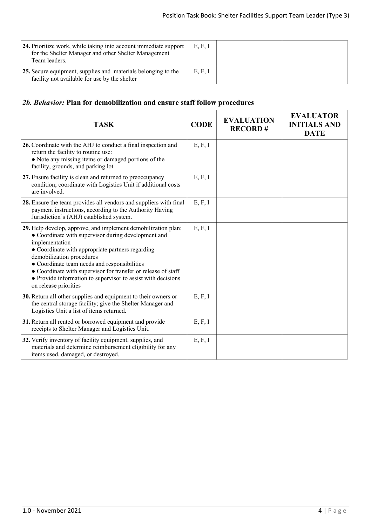| 24. Prioritize work, while taking into account immediate support<br>for the Shelter Manager and other Shelter Management<br>Team leaders. | E, F, I |  |
|-------------------------------------------------------------------------------------------------------------------------------------------|---------|--|
| 25. Secure equipment, supplies and materials belonging to the<br>facility not available for use by the shelter                            | E, F, I |  |

## *2b. Behavior:* **Plan for demobilization and ensure staff follow procedures**

| <b>TASK</b>                                                                                                                                                                                                                                                                                                                                                                                                                       | <b>CODE</b> | <b>EVALUATION</b><br><b>RECORD#</b> | <b>EVALUATOR</b><br><b>INITIALS AND</b><br><b>DATE</b> |
|-----------------------------------------------------------------------------------------------------------------------------------------------------------------------------------------------------------------------------------------------------------------------------------------------------------------------------------------------------------------------------------------------------------------------------------|-------------|-------------------------------------|--------------------------------------------------------|
| 26. Coordinate with the AHJ to conduct a final inspection and<br>return the facility to routine use:<br>• Note any missing items or damaged portions of the<br>facility, grounds, and parking lot                                                                                                                                                                                                                                 | E, F, I     |                                     |                                                        |
| 27. Ensure facility is clean and returned to preoccupancy<br>condition; coordinate with Logistics Unit if additional costs<br>are involved.                                                                                                                                                                                                                                                                                       | E, F, I     |                                     |                                                        |
| 28. Ensure the team provides all vendors and suppliers with final<br>payment instructions, according to the Authority Having<br>Jurisdiction's (AHJ) established system.                                                                                                                                                                                                                                                          | E, F, I     |                                     |                                                        |
| 29. Help develop, approve, and implement demobilization plan:<br>• Coordinate with supervisor during development and<br>implementation<br>• Coordinate with appropriate partners regarding<br>demobilization procedures<br>• Coordinate team needs and responsibilities<br>• Coordinate with supervisor for transfer or release of staff<br>• Provide information to supervisor to assist with decisions<br>on release priorities | E, F, I     |                                     |                                                        |
| 30. Return all other supplies and equipment to their owners or<br>the central storage facility; give the Shelter Manager and<br>Logistics Unit a list of items returned.                                                                                                                                                                                                                                                          | E, F, I     |                                     |                                                        |
| 31. Return all rented or borrowed equipment and provide<br>receipts to Shelter Manager and Logistics Unit.                                                                                                                                                                                                                                                                                                                        | E, F, I     |                                     |                                                        |
| 32. Verify inventory of facility equipment, supplies, and<br>materials and determine reimbursement eligibility for any<br>items used, damaged, or destroyed.                                                                                                                                                                                                                                                                      | E, F, I     |                                     |                                                        |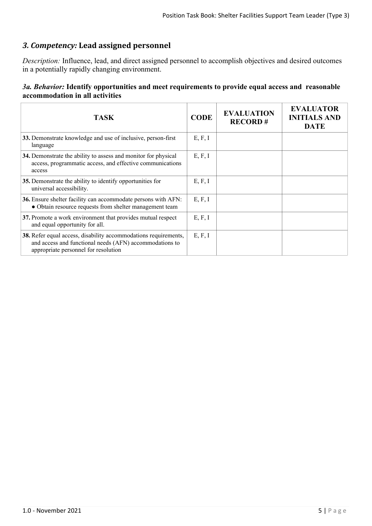# *3. Competency:* **Lead assigned personnel**

*Description:* Influence, lead, and direct assigned personnel to accomplish objectives and desired outcomes in a potentially rapidly changing environment.

### *3a. Behavior:* **Identify opportunities and meet requirements to provide equal access and reasonable accommodation in all activities**

| TASK                                                                                                                                                                      | <b>CODE</b> | <b>EVALUATION</b><br><b>RECORD#</b> | <b>EVALUATOR</b><br><b>INITIALS AND</b><br><b>DATE</b> |
|---------------------------------------------------------------------------------------------------------------------------------------------------------------------------|-------------|-------------------------------------|--------------------------------------------------------|
| 33. Demonstrate knowledge and use of inclusive, person-first<br>language                                                                                                  | E, F, I     |                                     |                                                        |
| 34. Demonstrate the ability to assess and monitor for physical<br>access, programmatic access, and effective communications<br>access                                     | E, F, I     |                                     |                                                        |
| 35. Demonstrate the ability to identify opportunities for<br>universal accessibility.                                                                                     | E, F, I     |                                     |                                                        |
| 36. Ensure shelter facility can accommodate persons with AFN:<br>• Obtain resource requests from shelter management team                                                  | E, F, I     |                                     |                                                        |
| 37. Promote a work environment that provides mutual respect<br>and equal opportunity for all.                                                                             | E, F, I     |                                     |                                                        |
| <b>38.</b> Refer equal access, disability accommodations requirements,<br>and access and functional needs (AFN) accommodations to<br>appropriate personnel for resolution | E, F, I     |                                     |                                                        |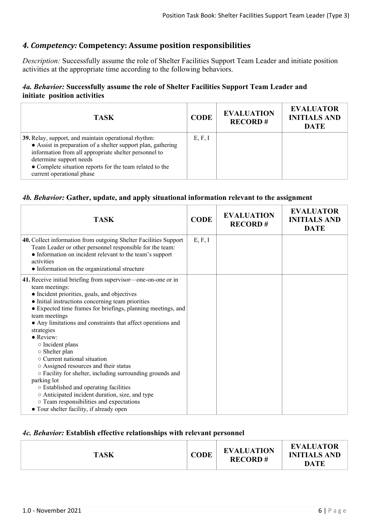## *4. Competency:* **Competency: Assume position responsibilities**

*Description:* Successfully assume the role of Shelter Facilities Support Team Leader and initiate position activities at the appropriate time according to the following behaviors.

### *4a. Behavior:* **Successfully assume the role of Shelter Facilities Support Team Leader and initiate position activities**

| <b>TASK</b>                                                                                                                                                                                                                                                                                       | <b>CODE</b> | <b>EVALUATION</b><br><b>RECORD#</b> | <b>EVALUATOR</b><br><b>INITIALS AND</b><br><b>DATE</b> |
|---------------------------------------------------------------------------------------------------------------------------------------------------------------------------------------------------------------------------------------------------------------------------------------------------|-------------|-------------------------------------|--------------------------------------------------------|
| 39. Relay, support, and maintain operational rhythm:<br>• Assist in preparation of a shelter support plan, gathering<br>information from all appropriate shelter personnel to<br>determine support needs<br>• Complete situation reports for the team related to the<br>current operational phase | E, F, I     |                                     |                                                        |

#### *4b. Behavior:* **Gather, update, and apply situational information relevant to the assignment**

| <b>TASK</b>                                                                                                                                                                                                                                                                                                                                                                                                                                                                                                                                                                                                                                                                                                                                                    | <b>CODE</b> | <b>EVALUATION</b><br><b>RECORD#</b> | <b>EVALUATOR</b><br><b>INITIALS AND</b><br><b>DATE</b> |
|----------------------------------------------------------------------------------------------------------------------------------------------------------------------------------------------------------------------------------------------------------------------------------------------------------------------------------------------------------------------------------------------------------------------------------------------------------------------------------------------------------------------------------------------------------------------------------------------------------------------------------------------------------------------------------------------------------------------------------------------------------------|-------------|-------------------------------------|--------------------------------------------------------|
| 40. Collect information from outgoing Shelter Facilities Support<br>Team Leader or other personnel responsible for the team:<br>• Information on incident relevant to the team's support<br>activities<br>• Information on the organizational structure                                                                                                                                                                                                                                                                                                                                                                                                                                                                                                        | E, F, I     |                                     |                                                        |
| 41. Receive initial briefing from supervisor-one-on-one or in<br>team meetings:<br>• Incident priorities, goals, and objectives<br>• Initial instructions concerning team priorities<br>• Expected time frames for briefings, planning meetings, and<br>team meetings<br>• Any limitations and constraints that affect operations and<br>strategies<br>$\bullet$ Review:<br>o Incident plans<br>$\circ$ Shelter plan<br>○ Current national situation<br>o Assigned resources and their status<br>○ Facility for shelter, including surrounding grounds and<br>parking lot<br>○ Established and operating facilities<br>○ Anticipated incident duration, size, and type<br>o Team responsibilities and expectations<br>• Tour shelter facility, if already open |             |                                     |                                                        |

#### *4c. Behavior:* **Establish effective relationships with relevant personnel**

| <b>TASK</b> | CODE | <b>EVALUATION</b><br><b>RECORD#</b> | <b>EVALUATOR</b><br><b>INITIALS AND</b><br><b>DATE</b> |
|-------------|------|-------------------------------------|--------------------------------------------------------|
|-------------|------|-------------------------------------|--------------------------------------------------------|